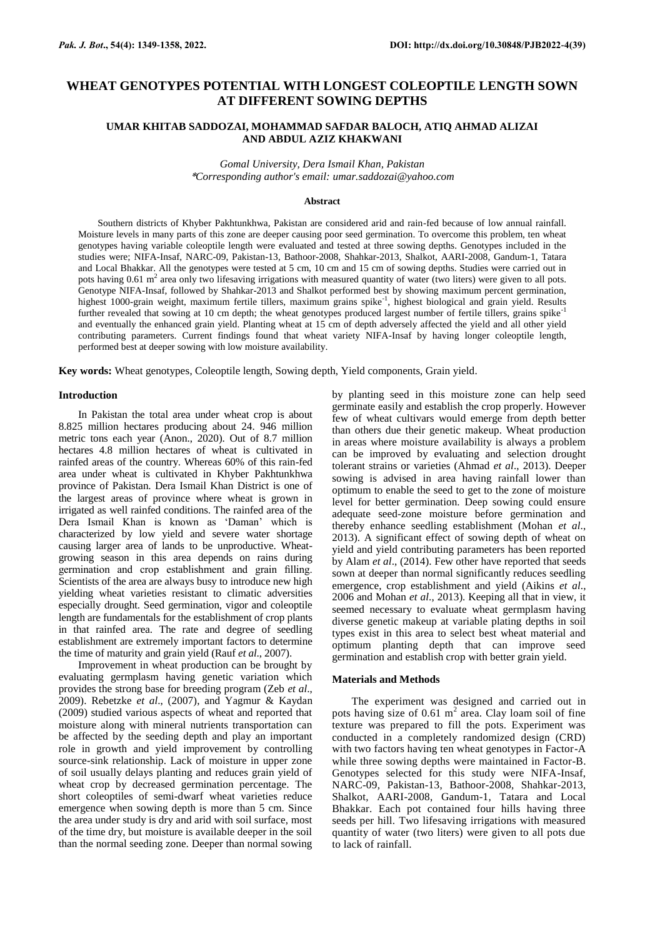# **WHEAT GENOTYPES POTENTIAL WITH LONGEST COLEOPTILE LENGTH SOWN AT DIFFERENT SOWING DEPTHS**

## **UMAR KHITAB SADDOZAI, MOHAMMAD SAFDAR BALOCH, ATIQ AHMAD ALIZAI AND ABDUL AZIZ KHAKWANI**

*Gomal University, Dera Ismail Khan, Pakistan* \**Corresponding author's email: umar.saddozai@yahoo.com*

#### **Abstract**

Southern districts of Khyber Pakhtunkhwa, Pakistan are considered arid and rain-fed because of low annual rainfall. Moisture levels in many parts of this zone are deeper causing poor seed germination. To overcome this problem, ten wheat genotypes having variable coleoptile length were evaluated and tested at three sowing depths. Genotypes included in the studies were; NIFA-Insaf, NARC-09, Pakistan-13, Bathoor-2008, Shahkar-2013, Shalkot, AARI-2008, Gandum-1, Tatara and Local Bhakkar. All the genotypes were tested at 5 cm, 10 cm and 15 cm of sowing depths. Studies were carried out in pots having  $0.61 \text{ m}^2$  area only two lifesaving irrigations with measured quantity of water (two liters) were given to all pots. Genotype NIFA-Insaf, followed by Shahkar-2013 and Shalkot performed best by showing maximum percent germination, highest 1000-grain weight, maximum fertile tillers, maximum grains spike<sup>-1</sup>, highest biological and grain yield. Results further revealed that sowing at 10 cm depth; the wheat genotypes produced largest number of fertile tillers, grains spike<sup>-1</sup> and eventually the enhanced grain yield. Planting wheat at 15 cm of depth adversely affected the yield and all other yield contributing parameters. Current findings found that wheat variety NIFA-Insaf by having longer coleoptile length, performed best at deeper sowing with low moisture availability.

**Key words:** Wheat genotypes, Coleoptile length, Sowing depth, Yield components, Grain yield.

#### **Introduction**

In Pakistan the total area under wheat crop is about 8.825 million hectares producing about 24. 946 million metric tons each year (Anon., 2020). Out of 8.7 million hectares 4.8 million hectares of wheat is cultivated in rainfed areas of the country. Whereas 60% of this rain-fed area under wheat is cultivated in Khyber Pakhtunkhwa province of Pakistan. Dera Ismail Khan District is one of the largest areas of province where wheat is grown in irrigated as well rainfed conditions. The rainfed area of the Dera Ismail Khan is known as "Daman" which is characterized by low yield and severe water shortage causing larger area of lands to be unproductive. Wheatgrowing season in this area depends on rains during germination and crop establishment and grain filling. Scientists of the area are always busy to introduce new high yielding wheat varieties resistant to climatic adversities especially drought. Seed germination, vigor and coleoptile length are fundamentals for the establishment of crop plants in that rainfed area. The rate and degree of seedling establishment are extremely important factors to determine the time of maturity and grain yield (Rauf *et al*., 2007).

Improvement in wheat production can be brought by evaluating germplasm having genetic variation which provides the strong base for breeding program (Zeb *et al*., 2009). Rebetzke *et al*., (2007), and Yagmur & Kaydan (2009) studied various aspects of wheat and reported that moisture along with mineral nutrients transportation can be affected by the seeding depth and play an important role in growth and yield improvement by controlling source-sink relationship. Lack of moisture in upper zone of soil usually delays planting and reduces grain yield of wheat crop by decreased germination percentage. The short coleoptiles of semi-dwarf wheat varieties reduce emergence when sowing depth is more than 5 cm. Since the area under study is dry and arid with soil surface, most of the time dry, but moisture is available deeper in the soil than the normal seeding zone. Deeper than normal sowing

by planting seed in this moisture zone can help seed germinate easily and establish the crop properly. However few of wheat cultivars would emerge from depth better than others due their genetic makeup. Wheat production in areas where moisture availability is always a problem can be improved by evaluating and selection drought tolerant strains or varieties (Ahmad *et al*., 2013). Deeper sowing is advised in area having rainfall lower than optimum to enable the seed to get to the zone of moisture level for better germination. Deep sowing could ensure adequate seed-zone moisture before germination and thereby enhance seedling establishment (Mohan *et al*., 2013). A significant effect of sowing depth of wheat on yield and yield contributing parameters has been reported by Alam *et al*., (2014). Few other have reported that seeds sown at deeper than normal significantly reduces seedling emergence, crop establishment and yield (Aikins *et al*., 2006 and Mohan *et al*., 2013). Keeping all that in view, it seemed necessary to evaluate wheat germplasm having diverse genetic makeup at variable plating depths in soil types exist in this area to select best wheat material and optimum planting depth that can improve seed germination and establish crop with better grain yield.

#### **Materials and Methods**

The experiment was designed and carried out in pots having size of  $0.61 \text{ m}^2$  area. Clay loam soil of fine texture was prepared to fill the pots. Experiment was conducted in a completely randomized design (CRD) with two factors having ten wheat genotypes in Factor-A while three sowing depths were maintained in Factor-B. Genotypes selected for this study were NIFA-Insaf, NARC-09, Pakistan-13, Bathoor-2008, Shahkar-2013, Shalkot, AARI-2008, Gandum-1, Tatara and Local Bhakkar. Each pot contained four hills having three seeds per hill. Two lifesaving irrigations with measured quantity of water (two liters) were given to all pots due to lack of rainfall.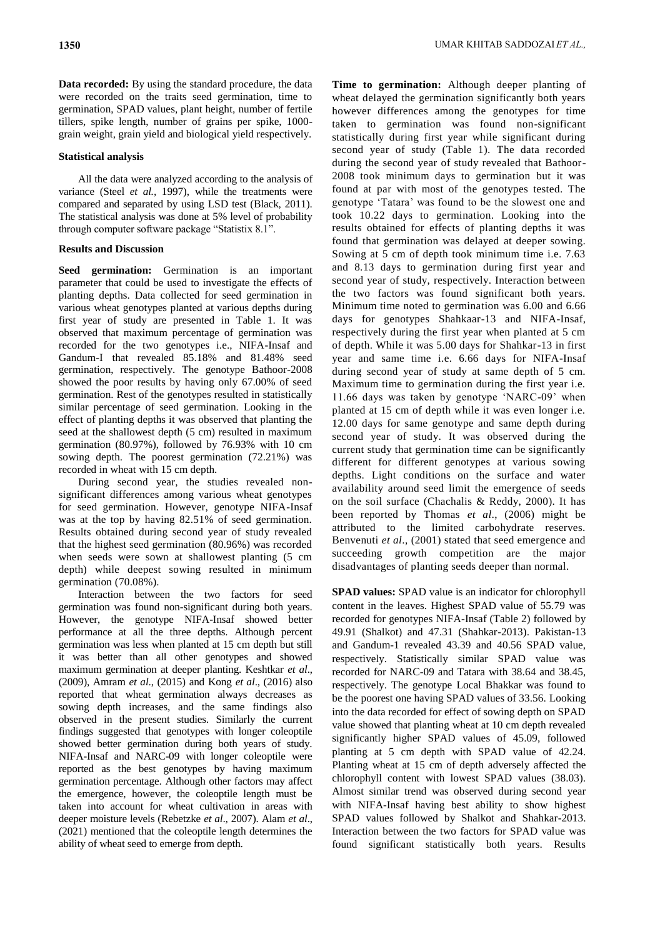**Data recorded:** By using the standard procedure, the data were recorded on the traits seed germination, time to germination, SPAD values, plant height, number of fertile tillers, spike length, number of grains per spike, 1000 grain weight, grain yield and biological yield respectively.

### **Statistical analysis**

All the data were analyzed according to the analysis of variance (Steel *et al.,* 1997), while the treatments were compared and separated by using LSD test (Black, 2011). The statistical analysis was done at 5% level of probability through computer software package "Statistix 8.1".

## **Results and Discussion**

**Seed germination:** Germination is an important parameter that could be used to investigate the effects of planting depths. Data collected for seed germination in various wheat genotypes planted at various depths during first year of study are presented in Table 1. It was observed that maximum percentage of germination was recorded for the two genotypes i.e., NIFA-Insaf and Gandum-I that revealed 85.18% and 81.48% seed germination, respectively. The genotype Bathoor-2008 showed the poor results by having only 67.00% of seed germination. Rest of the genotypes resulted in statistically similar percentage of seed germination. Looking in the effect of planting depths it was observed that planting the seed at the shallowest depth (5 cm) resulted in maximum germination (80.97%), followed by 76.93% with 10 cm sowing depth. The poorest germination (72.21%) was recorded in wheat with 15 cm depth.

During second year, the studies revealed nonsignificant differences among various wheat genotypes for seed germination. However, genotype NIFA-Insaf was at the top by having 82.51% of seed germination. Results obtained during second year of study revealed that the highest seed germination (80.96%) was recorded when seeds were sown at shallowest planting (5 cm depth) while deepest sowing resulted in minimum germination (70.08%).

Interaction between the two factors for seed germination was found non-significant during both years. However, the genotype NIFA-Insaf showed better performance at all the three depths. Although percent germination was less when planted at 15 cm depth but still it was better than all other genotypes and showed maximum germination at deeper planting. Keshtkar *et al*., (2009), Amram *et al*., (2015) and Kong *et al*., (2016) also reported that wheat germination always decreases as sowing depth increases, and the same findings also observed in the present studies. Similarly the current findings suggested that genotypes with longer coleoptile showed better germination during both years of study. NIFA-Insaf and NARC-09 with longer coleoptile were reported as the best genotypes by having maximum germination percentage. Although other factors may affect the emergence, however, the coleoptile length must be taken into account for wheat cultivation in areas with deeper moisture levels (Rebetzke *et al*., 2007). Alam *et al*., (2021) mentioned that the coleoptile length determines the ability of wheat seed to emerge from depth.

**Time to germination:** Although deeper planting of wheat delayed the germination significantly both years however differences among the genotypes for time taken to germination was found non-significant statistically during first year while significant during second year of study (Table 1). The data recorded during the second year of study revealed that Bathoor-2008 took minimum days to germination but it was found at par with most of the genotypes tested. The genotype "Tatara" was found to be the slowest one and took 10.22 days to germination. Looking into the results obtained for effects of planting depths it was found that germination was delayed at deeper sowing. Sowing at 5 cm of depth took minimum time i.e. 7.63 and 8.13 days to germination during first year and second year of study, respectively. Interaction between the two factors was found significant both years. Minimum time noted to germination was 6.00 and 6.66 days for genotypes Shahkaar-13 and NIFA-Insaf, respectively during the first year when planted at 5 cm of depth. While it was 5.00 days for Shahkar-13 in first year and same time i.e. 6.66 days for NIFA-Insaf during second year of study at same depth of 5 cm. Maximum time to germination during the first year i.e. 11.66 days was taken by genotype "NARC-09" when planted at 15 cm of depth while it was even longer i.e. 12.00 days for same genotype and same depth during second year of study. It was observed during the current study that germination time can be significantly different for different genotypes at various sowing depths. Light conditions on the surface and water availability around seed limit the emergence of seeds on the soil surface (Chachalis & Reddy, 2000). It has been reported by Thomas *et al*., (2006) might be attributed to the limited carbohydrate reserves. Benvenuti *et al*., (2001) stated that seed emergence and succeeding growth competition are the major disadvantages of planting seeds deeper than normal.

**SPAD values:** SPAD value is an indicator for chlorophyll content in the leaves. Highest SPAD value of 55.79 was recorded for genotypes NIFA-Insaf (Table 2) followed by 49.91 (Shalkot) and 47.31 (Shahkar-2013). Pakistan-13 and Gandum-1 revealed 43.39 and 40.56 SPAD value, respectively. Statistically similar SPAD value was recorded for NARC-09 and Tatara with 38.64 and 38.45, respectively. The genotype Local Bhakkar was found to be the poorest one having SPAD values of 33.56. Looking into the data recorded for effect of sowing depth on SPAD value showed that planting wheat at 10 cm depth revealed significantly higher SPAD values of 45.09, followed planting at 5 cm depth with SPAD value of 42.24. Planting wheat at 15 cm of depth adversely affected the chlorophyll content with lowest SPAD values (38.03). Almost similar trend was observed during second year with NIFA-Insaf having best ability to show highest SPAD values followed by Shalkot and Shahkar-2013. Interaction between the two factors for SPAD value was found significant statistically both years. Results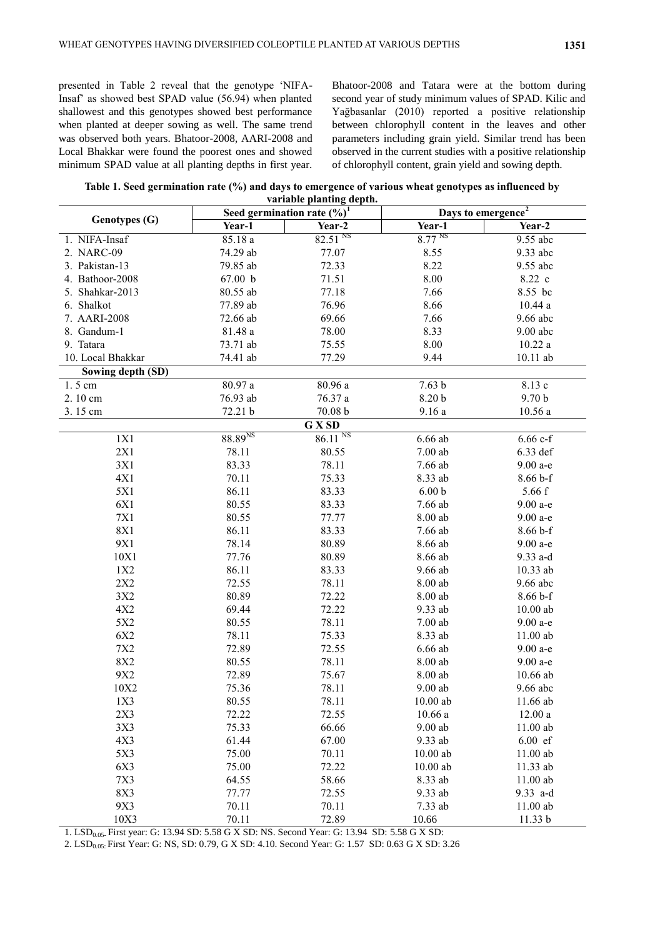presented in Table 2 reveal that the genotype "NIFA-Insaf" as showed best SPAD value (56.94) when planted shallowest and this genotypes showed best performance when planted at deeper sowing as well. The same trend was observed both years. Bhatoor-2008, AARI-2008 and Local Bhakkar were found the poorest ones and showed minimum SPAD value at all planting depths in first year.

Bhatoor-2008 and Tatara were at the bottom during second year of study minimum values of SPAD. Kilic and Yağbasanlar (2010) reported a positive relationship between chlorophyll content in the leaves and other parameters including grain yield. Similar trend has been observed in the current studies with a positive relationship of chlorophyll content, grain yield and sowing depth.

**Table 1. Seed germination rate (%) and days to emergence of various wheat genotypes as influenced by variable planting depth.**

| <b>Genotypes (G)</b> | Seed germination rate $(\sqrt[6]{6})^1$ |                       | Days to emergence <sup>2</sup> |                   |
|----------------------|-----------------------------------------|-----------------------|--------------------------------|-------------------|
|                      | Year-1                                  | Year-2                | Year-1                         | Year-2            |
| 1. NIFA-Insaf        | 85.18a                                  | 82.51 <sup>NS</sup>   | 8.77 <sup>NS</sup>             | 9.55 abc          |
| 2. NARC-09           | 74.29 ab                                | 77.07                 | 8.55                           | 9.33 abc          |
| 3. Pakistan-13       | 79.85 ab                                | 72.33                 | 8.22                           | 9.55 abc          |
| 4. Bathoor-2008      | 67.00 b                                 | 71.51                 | 8.00                           | 8.22 c            |
| 5. Shahkar-2013      | 80.55 ab                                | 77.18                 | 7.66                           | 8.55 bc           |
| 6. Shalkot           | 77.89 ab                                | 76.96                 | 8.66                           | 10.44a            |
| 7. AARI-2008         | 72.66 ab                                | 69.66                 | 7.66                           | 9.66 abc          |
| 8. Gandum-1          | 81.48 a                                 | 78.00                 | 8.33                           | $9.00$ abc        |
| 9. Tatara            | 73.71 ab                                | 75.55                 | 8.00                           | 10.22a            |
| 10. Local Bhakkar    | 74.41 ab                                | 77.29                 | 9.44                           | 10.11 ab          |
| Sowing depth (SD)    |                                         |                       |                                |                   |
| $1.5 \text{ cm}$     | 80.97a                                  | 80.96 a               | 7.63 <sub>b</sub>              | 8.13 c            |
| 2.10 cm              | 76.93 ab                                | 76.37 a               | 8.20 b                         | 9.70 <sub>b</sub> |
| 3.15 cm              | 72.21 b                                 | 70.08 b               | 9.16a                          | 10.56a            |
|                      |                                         | G X SD                |                                |                   |
| 1X1                  | 88.89 <sup>NS</sup>                     | $86.11$ <sup>NS</sup> | $6.66$ ab                      | $6.66 c-f$        |
| 2X1                  | 78.11                                   | 80.55                 | $7.00$ ab                      | 6.33 def          |
| 3X1                  | 83.33                                   | 78.11                 | 7.66 ab                        | 9.00 a-e          |
| 4X1                  | 70.11                                   | 75.33                 | 8.33 ab                        | $8.66 b-f$        |
| 5X1                  | 86.11                                   | 83.33                 | 6.00 <sub>b</sub>              | 5.66 f            |
| 6X1                  | 80.55                                   | 83.33                 | 7.66 ab                        | 9.00 a-e          |
| 7X1                  | 80.55                                   | 77.77                 | 8.00 ab                        | 9.00 a-e          |
| <b>8X1</b>           | 86.11                                   | 83.33                 | 7.66 ab                        | $8.66 b-f$        |
| 9X1                  | 78.14                                   | 80.89                 | 8.66 ab                        | 9.00 a-e          |
| 10X1                 | 77.76                                   | 80.89                 | 8.66 ab                        | 9.33 a-d          |
| 1X2                  | 86.11                                   | 83.33                 | 9.66 ab                        | 10.33 ab          |
| 2X2                  | 72.55                                   | 78.11                 | 8.00 ab                        | 9.66 abc          |
| 3X2                  | 80.89                                   | 72.22                 | 8.00 ab                        | $8.66 b-f$        |
| 4X2                  | 69.44                                   | 72.22                 | 9.33 ab                        | $10.00$ ab        |
| 5X2                  | 80.55                                   | 78.11                 | $7.00$ ab                      | 9.00 a-e          |
| 6X2                  | 78.11                                   | 75.33                 | 8.33 ab                        | 11.00 ab          |
| 7X2                  | 72.89                                   | 72.55                 | $6.66$ ab                      | 9.00 a-e          |
| 8X2                  | 80.55                                   | 78.11                 | 8.00 ab                        | 9.00 a-e          |
| 9X2                  | 72.89                                   | 75.67                 | 8.00 ab                        | 10.66 ab          |
| 10X2                 | 75.36                                   | 78.11                 | $9.00$ ab                      | $9.66$ abc        |
| 1X3                  | 80.55                                   | 78.11                 | $10.00$ ab                     | 11.66 ab          |
| 2X3                  | 72.22                                   | 72.55                 | 10.66a                         | 12.00a            |
| 3X3                  | 75.33                                   | 66.66                 | $9.00$ ab                      | 11.00 ab          |
| 4X3                  | 61.44                                   | 67.00                 | 9.33 ab                        | $6.00$ ef         |
| 5X3                  | 75.00                                   | 70.11                 | $10.00$ ab                     | 11.00 ab          |
| 6X3                  | 75.00                                   | 72.22                 | $10.00$ ab                     | 11.33 ab          |
| 7X3                  | 64.55                                   | 58.66                 | 8.33 ab                        | $11.00$ ab        |
| 8X3                  | 77.77                                   | 72.55                 | 9.33 ab                        | 9.33 a-d          |
| 9X3                  | 70.11                                   | 70.11                 | 7.33 ab                        | 11.00 ab          |
| 10X3                 | 70.11                                   | 72.89                 | 10.66                          | 11.33 b           |

1. LSD<sub>0.05</sub>. First year: G: 13.94 SD: 5.58 G X SD: NS. Second Year: G: 13.94 SD: 5.58 G X SD:

2. LSD<sub>0.05:</sub> First Year: G: NS, SD: 0.79, G X SD: 4.10. Second Year: G: 1.57 SD: 0.63 G X SD: 3.26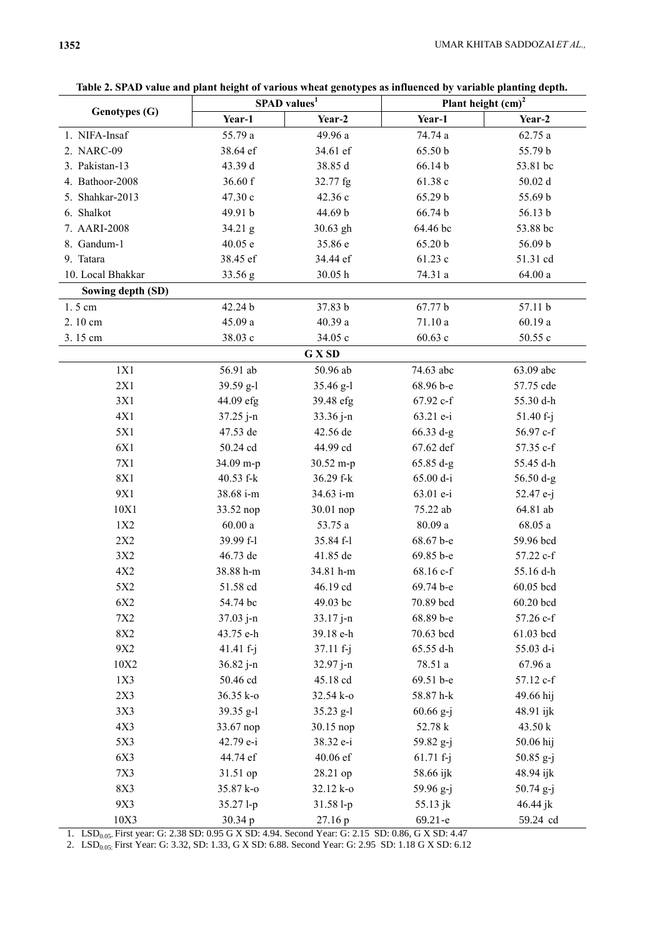| Genotypes (G)     | SPAD values <sup>1</sup> |             | Plant height $\text{(cm)}^2$ |             |
|-------------------|--------------------------|-------------|------------------------------|-------------|
|                   | Year-1                   | Year-2      | Year-1                       | Year-2      |
| 1. NIFA-Insaf     | 55.79 a                  | 49.96 a     | 74.74 a                      | 62.75a      |
| 2. NARC-09        | 38.64 ef                 | 34.61 ef    | 65.50 b                      | 55.79 b     |
| 3. Pakistan-13    | 43.39 d                  | 38.85 d     | 66.14b                       | 53.81 bc    |
| 4. Bathoor-2008   | 36.60 f                  | 32.77 fg    | 61.38 c                      | 50.02d      |
| 5. Shahkar-2013   | 47.30 c                  | 42.36 c     | 65.29 b                      | 55.69 b     |
| 6. Shalkot        | 49.91 b                  | 44.69 b     | 66.74 b                      | 56.13 b     |
| 7. AARI-2008      | $34.21$ g                | 30.63 gh    | 64.46 bc                     | 53.88 bc    |
| 8. Gandum-1       | 40.05 e                  | 35.86 e     | 65.20 b                      | 56.09 b     |
| 9. Tatara         | 38.45 ef                 | 34.44 ef    | 61.23 c                      | 51.31 cd    |
| 10. Local Bhakkar | 33.56 g                  | 30.05 h     | 74.31 a                      | $64.00a$    |
| Sowing depth (SD) |                          |             |                              |             |
| 1.5 cm            | 42.24 b                  | 37.83 b     | 67.77 b                      | 57.11 b     |
| 2.10 cm           | 45.09 a                  | 40.39 a     | 71.10a                       | 60.19a      |
| 3.15 cm           | 38.03 c                  | 34.05 c     | 60.63c                       | 50.55 c     |
|                   |                          | G X SD      |                              |             |
| 1X1               | 56.91 ab                 | 50.96 ab    | 74.63 abc                    | 63.09 abc   |
| 2X1               | 39.59 g-l                | 35.46 g-l   | 68.96 b-e                    | 57.75 cde   |
| 3X1               | 44.09 efg                | 39.48 efg   | 67.92 c-f                    | 55.30 d-h   |
| 4X1               | $37.25 j-n$              | $33.36 j-n$ | 63.21 e-i                    | $51.40 f-j$ |
| 5X1               | 47.53 de                 | 42.56 de    | $66.33 d-g$                  | 56.97 c-f   |
| 6X1               | 50.24 cd                 | 44.99 cd    | 67.62 def                    | 57.35 c-f   |
| 7X1               | 34.09 m-p                | 30.52 m-p   | $65.85 d-g$                  | 55.45 d-h   |
| <b>8X1</b>        | 40.53 f-k                | 36.29 f-k   | 65.00 d-i                    | $56.50 d-g$ |
| 9X1               | 38.68 i-m                | 34.63 i-m   | 63.01 e-i                    | 52.47 e-j   |
| 10X1              | 33.52 nop                | 30.01 nop   | 75.22 ab                     | 64.81 ab    |
| 1X2               | $60.00a$                 | 53.75 a     | 80.09 a                      | 68.05a      |
| 2X2               | 39.99 f-l                | 35.84 f-l   | 68.67 b-e                    | 59.96 bcd   |
| 3X2               | 46.73 de                 | 41.85 de    | 69.85 b-e                    | 57.22 c-f   |
| 4X2               | 38.88 h-m                | 34.81 h-m   | 68.16 c-f                    | 55.16 d-h   |
| 5X2               | 51.58 cd                 | 46.19 cd    | 69.74 b-e                    | 60.05 bcd   |
| 6X2               | 54.74 bc                 | 49.03 bc    | 70.89 bcd                    | 60.20 bcd   |
| 7X2               | $37.03 j-n$              | 33.17 j-n   | 68.89 b-e                    | 57.26 c-f   |
| 8X2               | 43.75 e-h                | 39.18 e-h   | 70.63 bcd                    | 61.03 bcd   |
| 9X2               | 41.41 $f - j$            | $37.11 f-j$ | 65.55 d-h                    | 55.03 d-i   |
| 10X2              | 36.82 j-n                | 32.97 j-n   | 78.51 a                      | 67.96a      |
| 1X3               | 50.46 cd                 | 45.18 cd    | 69.51 b-e                    | 57.12 c-f   |
| 2X3               | 36.35 k-o                | 32.54 k-o   | 58.87 h-k                    | 49.66 hij   |
| 3X3               | 39.35 g-l                | $35.23$ g-1 | $60.66\ g - j$               | 48.91 ijk   |
| 4X3               | 33.67 nop                | 30.15 nop   | 52.78 k                      | 43.50 k     |
| 5X3               | 42.79 e-i                | 38.32 e-i   | 59.82 g-j                    | 50.06 hij   |
| 6X3               | 44.74 ef                 | 40.06 ef    | $61.71 f-j$                  | 50.85 g-j   |
| 7X3               | 31.51 op                 | 28.21 op    | 58.66 ijk                    | 48.94 ijk   |
| 8X3               | 35.87 k-o                | 32.12 k-o   | 59.96 g-j                    | 50.74 g-j   |
| 9X3               | 35.27 l-p                | 31.58 l-p   | 55.13 jk                     | $46.44$ jk  |
| 10X3              | 30.34 p                  | 27.16 p     | $69.21 - e$                  | 59.24 cd    |

**Table 2. SPAD value and plant height of various wheat genotypes as influenced by variable planting depth.**

1. LSD<sub>0.05</sub> First year: G: 2.38 SD: 0.95 G X SD: 4.94. Second Year: G: 2.15 SD: 0.86, G X SD: 4.47

2. LSD<sub>0.05:</sub> First Year: G: 3.32, SD: 1.33, G X SD: 6.88. Second Year: G: 2.95 SD: 1.18 G X SD: 6.12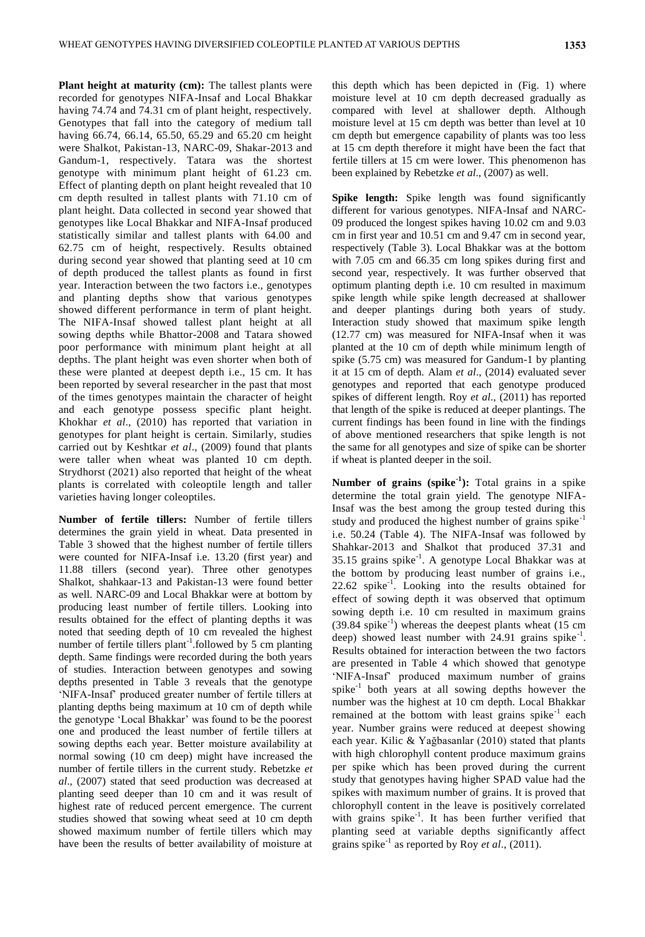Plant height at maturity (cm): The tallest plants were recorded for genotypes NIFA-Insaf and Local Bhakkar having 74.74 and 74.31 cm of plant height, respectively. Genotypes that fall into the category of medium tall having 66.74, 66.14, 65.50, 65.29 and 65.20 cm height were Shalkot, Pakistan-13, NARC-09, Shakar-2013 and Gandum-1, respectively. Tatara was the shortest genotype with minimum plant height of 61.23 cm. Effect of planting depth on plant height revealed that 10 cm depth resulted in tallest plants with 71.10 cm of plant height. Data collected in second year showed that genotypes like Local Bhakkar and NIFA-Insaf produced statistically similar and tallest plants with 64.00 and 62.75 cm of height, respectively. Results obtained during second year showed that planting seed at 10 cm of depth produced the tallest plants as found in first year. Interaction between the two factors i.e., genotypes and planting depths show that various genotypes showed different performance in term of plant height. The NIFA-Insaf showed tallest plant height at all sowing depths while Bhattor-2008 and Tatara showed poor performance with minimum plant height at all depths. The plant height was even shorter when both of these were planted at deepest depth i.e., 15 cm. It has been reported by several researcher in the past that most of the times genotypes maintain the character of height and each genotype possess specific plant height. Khokhar *et al*., (2010) has reported that variation in genotypes for plant height is certain. Similarly, studies carried out by Keshtkar *et al*., (2009) found that plants were taller when wheat was planted 10 cm depth. Strydhorst (2021) also reported that height of the wheat plants is correlated with coleoptile length and taller varieties having longer coleoptiles.

**Number of fertile tillers:** Number of fertile tillers determines the grain yield in wheat. Data presented in Table 3 showed that the highest number of fertile tillers were counted for NIFA-Insaf i.e. 13.20 (first year) and 11.88 tillers (second year). Three other genotypes Shalkot, shahkaar-13 and Pakistan-13 were found better as well. NARC-09 and Local Bhakkar were at bottom by producing least number of fertile tillers. Looking into results obtained for the effect of planting depths it was noted that seeding depth of 10 cm revealed the highest number of fertile tillers plant<sup>-1</sup>.followed by 5 cm planting depth. Same findings were recorded during the both years of studies. Interaction between genotypes and sowing depths presented in Table 3 reveals that the genotype "NIFA-Insaf" produced greater number of fertile tillers at planting depths being maximum at 10 cm of depth while the genotype "Local Bhakkar" was found to be the poorest one and produced the least number of fertile tillers at sowing depths each year. Better moisture availability at normal sowing (10 cm deep) might have increased the number of fertile tillers in the current study. Rebetzke *et al*., (2007) stated that seed production was decreased at planting seed deeper than 10 cm and it was result of highest rate of reduced percent emergence. The current studies showed that sowing wheat seed at 10 cm depth showed maximum number of fertile tillers which may have been the results of better availability of moisture at

this depth which has been depicted in (Fig. 1) where moisture level at 10 cm depth decreased gradually as compared with level at shallower depth. Although moisture level at 15 cm depth was better than level at 10 cm depth but emergence capability of plants was too less at 15 cm depth therefore it might have been the fact that fertile tillers at 15 cm were lower. This phenomenon has been explained by Rebetzke *et al*., (2007) as well.

**Spike length:** Spike length was found significantly different for various genotypes. NIFA-Insaf and NARC-09 produced the longest spikes having 10.02 cm and 9.03 cm in first year and 10.51 cm and 9.47 cm in second year, respectively (Table 3). Local Bhakkar was at the bottom with 7.05 cm and 66.35 cm long spikes during first and second year, respectively. It was further observed that optimum planting depth i.e. 10 cm resulted in maximum spike length while spike length decreased at shallower and deeper plantings during both years of study. Interaction study showed that maximum spike length (12.77 cm) was measured for NIFA-Insaf when it was planted at the 10 cm of depth while minimum length of spike (5.75 cm) was measured for Gandum-1 by planting it at 15 cm of depth. Alam *et al*., (2014) evaluated sever genotypes and reported that each genotype produced spikes of different length. Roy *et al*., (2011) has reported that length of the spike is reduced at deeper plantings. The current findings has been found in line with the findings of above mentioned researchers that spike length is not the same for all genotypes and size of spike can be shorter if wheat is planted deeper in the soil.

**Number of grains (spike<sup>1</sup>):** Total grains in a spike determine the total grain yield. The genotype NIFA-Insaf was the best among the group tested during this study and produced the highest number of grains spike<sup>-1</sup> i.e. 50.24 (Table 4). The NIFA-Insaf was followed by Shahkar-2013 and Shalkot that produced 37.31 and 35.15 grains spike-1 . A genotype Local Bhakkar was at the bottom by producing least number of grains i.e., 22.62 spike-1 . Looking into the results obtained for effect of sowing depth it was observed that optimum sowing depth i.e. 10 cm resulted in maximum grains  $(39.84 \text{ spike}^{-1})$  whereas the deepest plants wheat  $(15 \text{ cm})$ deep) showed least number with  $24.91$  grains spike<sup>-1</sup>. Results obtained for interaction between the two factors are presented in Table 4 which showed that genotype 'NIFA-Insaf' produced maximum number of grains spike $^{-1}$  both years at all sowing depths however the number was the highest at 10 cm depth. Local Bhakkar remained at the bottom with least grains  $spike^{-1}$  each year. Number grains were reduced at deepest showing each year. Kilic & Yağbasanlar (2010) stated that plants with high chlorophyll content produce maximum grains per spike which has been proved during the current study that genotypes having higher SPAD value had the spikes with maximum number of grains. It is proved that chlorophyll content in the leave is positively correlated with grains spike<sup>-1</sup>. It has been further verified that planting seed at variable depths significantly affect grains spike<sup>-1</sup> as reported by Roy *et al.*, (2011).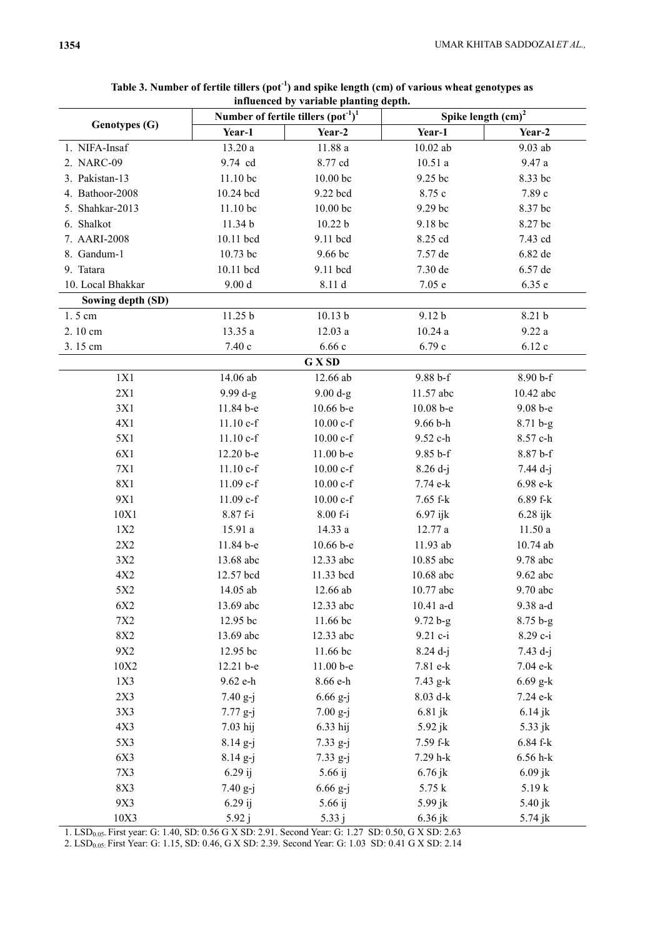| Genotypes (G)        | Number of fertile tillers $(\text{pot}^{-1})^1$ |                                                                                                   | Spike length (cm) <sup>2</sup> |               |
|----------------------|-------------------------------------------------|---------------------------------------------------------------------------------------------------|--------------------------------|---------------|
|                      | Year-1                                          | Year-2                                                                                            | Year-1                         | Year-2        |
| 1. NIFA-Insaf        | 13.20 a                                         | $11.88a$                                                                                          | $10.02$ ab                     | 9.03 ab       |
| 2. NARC-09           | 9.74 cd                                         | 8.77 cd                                                                                           | 10.51a                         | 9.47 a        |
| 3. Pakistan-13       | 11.10 bc                                        | 10.00 bc                                                                                          | 9.25 bc                        | 8.33 bc       |
| 4. Bathoor-2008      | 10.24 bcd                                       | 9.22 bcd                                                                                          | 8.75 c                         | 7.89 с        |
| 5. Shahkar-2013      | 11.10 bc                                        | 10.00 bc                                                                                          | 9.29 bc                        | 8.37 bc       |
| 6. Shalkot           | 11.34 b                                         | 10.22 b                                                                                           | 9.18 bc                        | 8.27 bc       |
| 7. AARI-2008         | 10.11 bcd                                       | 9.11 bcd                                                                                          | 8.25 cd                        | 7.43 cd       |
| 8. Gandum-1          | 10.73 bc                                        | 9.66 bc                                                                                           | 7.57 de                        | 6.82 de       |
| 9. Tatara            | 10.11 bcd                                       | 9.11 bcd                                                                                          | 7.30 de                        | 6.57 de       |
| 10. Local Bhakkar    | 9.00 d                                          | 8.11 d                                                                                            | 7.05e                          | 6.35 e        |
| Sowing depth (SD)    |                                                 |                                                                                                   |                                |               |
| 1.5 cm               | 11.25 b                                         | 10.13 <sub>b</sub>                                                                                | 9.12 <sub>b</sub>              | 8.21 b        |
| 2.10 cm              | 13.35 a                                         | 12.03a                                                                                            | 10.24a                         | 9.22a         |
| 3.15 cm              | 7.40 с                                          | 6.66c                                                                                             | 6.79 c                         | 6.12c         |
|                      |                                                 | G X SD                                                                                            |                                |               |
| 1X1                  | 14.06 ab                                        | 12.66 ab                                                                                          | $9.88 b-f$                     | 8.90 b-f      |
| 2X1                  | 9.99 d-g                                        | $9.00 d-g$                                                                                        | 11.57 abc                      | 10.42 abc     |
| 3X1                  | 11.84 b-e                                       | 10.66 b-e                                                                                         | 10.08 b-e                      | 9.08 b-e      |
| 4X1                  | $11.10 c-f$                                     | $10.00 c-f$                                                                                       | $9.66 b-h$                     | $8.71 b-g$    |
| 5X1                  | $11.10 c-f$                                     | $10.00 c-f$                                                                                       | 9.52 c-h                       | 8.57 c-h      |
| 6X1                  | 12.20 b-e                                       | 11.00 b-e                                                                                         | $9.85 b-f$                     | 8.87 b-f      |
| <b>7X1</b>           | $11.10 c-f$                                     | $10.00 c-f$                                                                                       | $8.26 d-j$                     | $7.44 d-j$    |
| <b>8X1</b>           | $11.09$ c-f                                     | $10.00 c-f$                                                                                       | 7.74 e-k                       | 6.98 e-k      |
| 9X1                  | 11.09 c-f                                       | $10.00 c-f$                                                                                       | 7.65 f-k                       | 6.89 f-k      |
| 10X1                 | 8.87 f-i                                        | 8.00 f-i                                                                                          | $6.97$ ijk                     | $6.28$ ijk    |
| 1X2                  | 15.91 a                                         | 14.33 a                                                                                           | 12.77 a                        | 11.50a        |
| 2X2                  | 11.84 b-e                                       | $10.66 b - e$                                                                                     | 11.93 ab                       | 10.74 ab      |
| 3X2                  | 13.68 abc                                       | 12.33 abc                                                                                         | 10.85 abc                      | 9.78 abc      |
| 4X2                  | 12.57 bcd                                       | 11.33 bcd                                                                                         | 10.68 abc                      | 9.62 abc      |
| 5X2                  | 14.05 ab                                        | $12.66$ ab                                                                                        | 10.77 abc                      | 9.70 abc      |
| 6X2                  | 13.69 abc                                       | 12.33 abc                                                                                         | $10.41$ a-d                    | 9.38 a-d      |
| 7X2                  | 12.95 bc                                        | 11.66 bc                                                                                          | $9.72 b-g$                     | $8.75 b-g$    |
| 8X2                  | 13.69 abc                                       | 12.33 abc                                                                                         | $9.21$ c-i                     | 8.29 c-i      |
| 9X2                  | 12.95 bc                                        | 11.66 bc                                                                                          | $8.24 d-j$                     | $7.43 d-i$    |
| 10X2                 | 12.21 b-e                                       | $11.00b-e$                                                                                        | 7.81 e-k                       | 7.04 e-k      |
| 1X3                  | 9.62 e-h                                        | 8.66 e-h                                                                                          | 7.43 g-k                       | $6.69$ g-k    |
| 2X3                  | $7.40 g-j$                                      | $6.66$ g-j                                                                                        | $8.03$ d-k                     | 7.24 e-k      |
| 3X3                  | $7.77 g-j$                                      | $7.00 g-j$                                                                                        | $6.81$ jk                      | $6.14$ jk     |
| 4X3                  | $7.03$ hij                                      | $6.33$ hij                                                                                        | 5.92 jk                        | 5.33 jk       |
| 5X3                  | $8.14\ g-j$                                     | $7.33 g-j$                                                                                        | 7.59 f-k                       | 6.84 f-k      |
| 6X3                  | $8.14\ g - j$                                   | $7.33 g-j$                                                                                        | 7.29 h-k                       | $6.56$ h- $k$ |
| 7X3                  | $6.29$ ij                                       | 5.66 ij                                                                                           | 6.76 jk                        | $6.09$ jk     |
| 8X3                  | $7.40 g-j$                                      | $6.66\ g-j$                                                                                       | 5.75 k                         | 5.19k         |
| 9X3                  | $6.29$ ij                                       | 5.66 ij                                                                                           | 5.99 jk                        | 5.40 jk       |
| 10X3<br>$1$ $I$ $CD$ | 5.92 j                                          | 5.33j<br>First veget G: 1.40, SD: 0.56 G Y SD: 2.01, Second Veget G: 1.27, SD: 0.50, G Y SD: 2.63 | $6.36$ jk                      | $5.74$ j $k$  |

## **Table 3. Number of fertile tillers (pot-1 ) and spike length (cm) of various wheat genotypes as influenced by variable planting depth.**

1. LSD<sub>0.05</sub>. First year: G: 1.40, SD: 0.56 G X SD: 2.91. Second Year: G: 1.27 SD: 0.50, G X SD: 2.63

2. LSD<sub>0.05:</sub> First Year: G: 1.15, SD: 0.46, G X SD: 2.39. Second Year: G: 1.03 SD: 0.41 G X SD: 2.14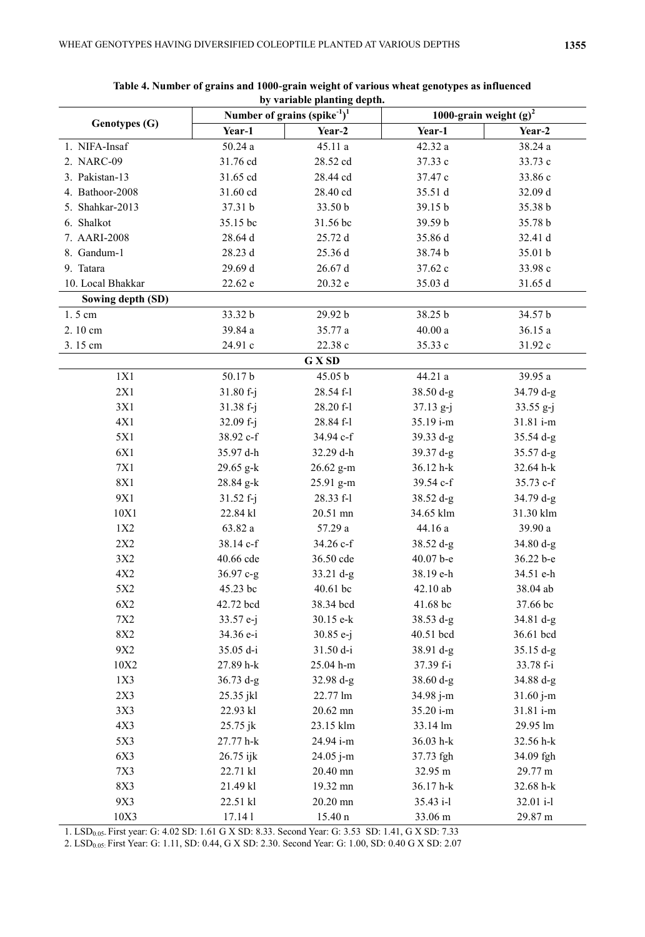| <b>Genotypes (G)</b> | Number of grains (spike $1$ ) <sup>1</sup> |                        | 1000-grain weight $(g)^2$ |                       |
|----------------------|--------------------------------------------|------------------------|---------------------------|-----------------------|
|                      | Year-1                                     | Year-2                 | Year-1                    | Year-2                |
| 1. NIFA-Insaf        | 50.24a                                     | 45.11a                 | 42.32 a                   | 38.24a                |
| 2. NARC-09           | 31.76 cd                                   | 28.52 cd               | 37.33 c                   | 33.73 c               |
| 3. Pakistan-13       | 31.65 cd                                   | 28.44 cd               | 37.47 c                   | 33.86 c               |
| 4. Bathoor-2008      | 31.60 cd                                   | 28.40 cd               | 35.51 d                   | 32.09 d               |
| 5. Shahkar-2013      | 37.31 b                                    | 33.50 b                | 39.15 b                   | 35.38 b               |
| 6. Shalkot           | 35.15 bc                                   | 31.56 bc               | 39.59 b                   | 35.78 b               |
| 7. AARI-2008         | 28.64 d                                    | 25.72 d                | 35.86 d                   | 32.41 d               |
| 8. Gandum-1          | 28.23 d                                    | 25.36 d                | 38.74 b                   | 35.01 b               |
| 9. Tatara            | 29.69 d                                    | 26.67 d                | 37.62 c                   | 33.98 c               |
| 10. Local Bhakkar    | 22.62 e                                    | 20.32 e                | 35.03 d                   | 31.65 d               |
| Sowing depth (SD)    |                                            |                        |                           |                       |
| 1.5 cm               | 33.32 b                                    | 29.92 b                | 38.25 b                   | 34.57 b               |
| 2.10 cm              | 39.84 a                                    | 35.77 a                | $40.00\ a$                | 36.15 a               |
| 3.15 cm              | 24.91 c                                    | 22.38 c                | 35.33 c                   | 31.92 c               |
|                      |                                            | G X SD                 |                           |                       |
| 1X1                  | 50.17b                                     | 45.05 b                | 44.21 a                   | 39.95 a               |
| 2X1                  | $31.80 f-j$                                | 28.54 f-l              | 38.50 d-g                 | $34.79 d-g$           |
| 3X1                  | $31.38 f - j$                              | 28.20 f-l              | $37.13 g-j$               | $33.55 g-j$           |
| 4X1                  | $32.09 f-j$                                | 28.84 f-l              | 35.19 i-m                 | 31.81 i-m             |
| 5X1                  | 38.92 c-f                                  | 34.94 c-f              | 39.33 d-g                 | 35.54 d-g             |
| 6X1                  | 35.97 d-h                                  | 32.29 d-h              | 39.37 d-g                 | $35.57 d-g$           |
| 7X1                  | 29.65 g-k                                  | 26.62 g-m              | 36.12 h-k                 | 32.64 h-k             |
| <b>8X1</b>           | 28.84 g-k                                  | 25.91 g-m              | 39.54 c-f                 | 35.73 c-f             |
| 9X1                  | $31.52 f-j$                                | 28.33 f-1              | 38.52 d-g                 | 34.79 d-g             |
| 10X1                 | 22.84 kl                                   | 20.51 mn               | 34.65 klm                 | 31.30 klm             |
| 1X2                  | 63.82 a                                    | 57.29 a                | 44.16 a                   | 39.90 a               |
| 2X2                  | 38.14 c-f                                  | 34.26 c-f              | $38.52 d-g$               | 34.80 d-g             |
| 3X2                  | 40.66 cde                                  | 36.50 cde              | 40.07 b-e                 | 36.22 b-e             |
| 4X2                  | 36.97 c-g                                  | $33.21 d-g$            | 38.19 e-h                 | 34.51 e-h             |
| 5X2                  | 45.23 bc                                   | $40.61$ bc             | 42.10ab                   | 38.04 ab              |
| 6X2                  | 42.72 bcd                                  | 38.34 bcd              | 41.68 bc                  | 37.66 bc              |
| 7X2                  | 33.57 e-j                                  | 30.15 e-k              | 38.53 d-g                 | 34.81 d-g             |
| 8X2                  | 34.36 e-i                                  | $30.85 e-j$            | 40.51 bcd                 | 36.61 bcd             |
| 9X2                  | 35.05 d-i                                  | 31.50 d-i              | 38.91 d-g                 | $35.15 d-g$           |
| 10X2                 | 27.89 h-k                                  | 25.04 h-m              | 37.39 f-i                 | 33.78 f-i             |
| 1X3                  | $36.73 d-g$                                | $32.98 d-g$            | $38.60 d-g$               | 34.88 d-g             |
| 2X3                  | 25.35 jkl                                  | 22.77 lm               | 34.98 j-m<br>35.20 i-m    | 31.60 j-m             |
| 3X3                  | 22.93 kl                                   | 20.62 mn               |                           | 31.81 i-m             |
| 4X3<br>5X3           | 25.75 jk<br>27.77 h-k                      | 23.15 klm<br>24.94 i-m | 33.14 lm<br>36.03 h-k     | 29.95 lm<br>32.56 h-k |
| 6X3                  |                                            |                        |                           | 34.09 fgh             |
|                      | 26.75 ijk                                  | 24.05 j-m              | 37.73 fgh                 |                       |
| 7X3<br>8X3           | 22.71 kl<br>21.49 kl                       | 20.40 mn<br>19.32 mn   | 32.95 m<br>36.17 h-k      | 29.77 m<br>32.68 h-k  |
| 9X3                  | 22.51 kl                                   | 20.20 mn               | 35.43 i-l                 | 32.01 i-l             |
| 10X3                 | 17.141                                     | $15.40 \text{ n}$      | 33.06 m                   | 29.87 m               |
|                      |                                            |                        |                           |                       |

**Table 4. Number of grains and 1000-grain weight of various wheat genotypes as influenced by variable planting depth.**

1. LSD<sub>0.05-</sub> First year: G: 4.02 SD: 1.61 G X SD: 8.33. Second Year: G: 3.53 SD: 1.41, G X SD: 7.33

2. LSD<sub>0.05:</sub> First Year: G: 1.11, SD: 0.44, G X SD: 2.30. Second Year: G: 1.00, SD: 0.40 G X SD: 2.07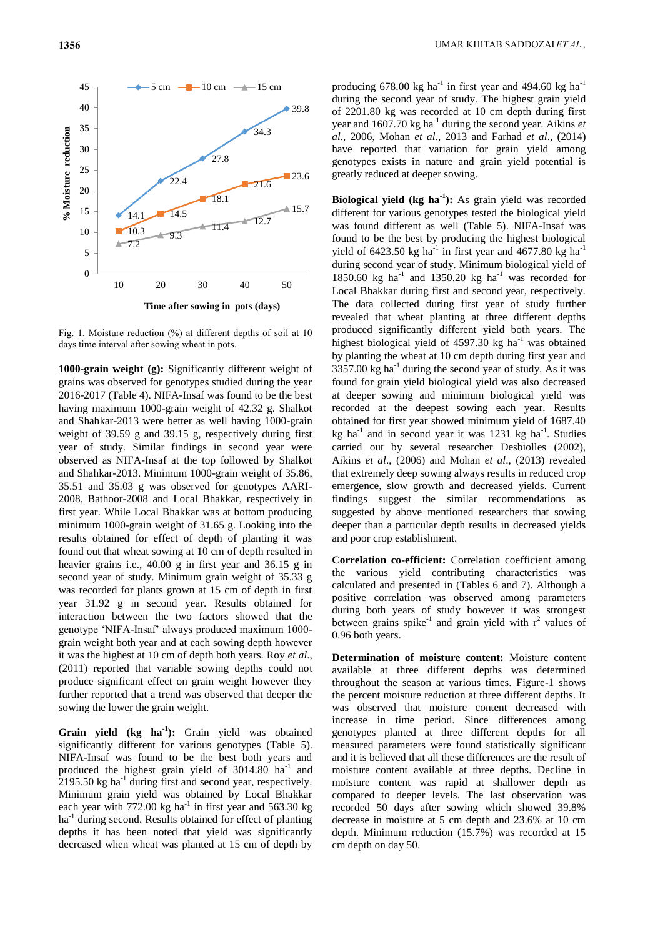

Fig. 1. Moisture reduction (%) at different depths of soil at 10 days time interval after sowing wheat in pots.

**1000-grain weight (g):** Significantly different weight of grains was observed for genotypes studied during the year 2016-2017 (Table 4). NIFA-Insaf was found to be the best having maximum 1000-grain weight of 42.32 g. Shalkot and Shahkar-2013 were better as well having 1000-grain weight of 39.59 g and 39.15 g, respectively during first year of study. Similar findings in second year were observed as NIFA-Insaf at the top followed by Shalkot and Shahkar-2013. Minimum 1000-grain weight of 35.86, 35.51 and 35.03 g was observed for genotypes AARI-2008, Bathoor-2008 and Local Bhakkar, respectively in first year. While Local Bhakkar was at bottom producing minimum 1000-grain weight of 31.65 g. Looking into the results obtained for effect of depth of planting it was found out that wheat sowing at 10 cm of depth resulted in heavier grains i.e., 40.00 g in first year and 36.15 g in second year of study. Minimum grain weight of 35.33 g was recorded for plants grown at 15 cm of depth in first year 31.92 g in second year. Results obtained for interaction between the two factors showed that the genotype "NIFA-Insaf" always produced maximum 1000 grain weight both year and at each sowing depth however it was the highest at 10 cm of depth both years. Roy *et al*., (2011) reported that variable sowing depths could not produce significant effect on grain weight however they further reported that a trend was observed that deeper the sowing the lower the grain weight.

**Grain yield (kg ha-1 ):** Grain yield was obtained significantly different for various genotypes (Table 5). NIFA-Insaf was found to be the best both years and produced the highest grain yield of  $3014.80$  ha<sup>-1</sup> and  $2195.50$  kg ha<sup>-1</sup> during first and second year, respectively. Minimum grain yield was obtained by Local Bhakkar each year with  $772.00 \text{ kg}$  ha<sup>-1</sup> in first year and 563.30 kg ha<sup>-1</sup> during second. Results obtained for effect of planting depths it has been noted that yield was significantly decreased when wheat was planted at 15 cm of depth by

producing 678.00 kg ha<sup>-1</sup> in first year and 494.60 kg ha<sup>-1</sup> during the second year of study. The highest grain yield of 2201.80 kg was recorded at 10 cm depth during first year and 1607.70 kg ha<sup>-1</sup> during the second year. Aikins *et al*., 2006, Mohan *et al*., 2013 and Farhad *et al*., (2014) have reported that variation for grain yield among genotypes exists in nature and grain yield potential is greatly reduced at deeper sowing.

**Biological yield (kg ha-1 ):** As grain yield was recorded different for various genotypes tested the biological yield was found different as well (Table 5). NIFA-Insaf was found to be the best by producing the highest biological yield of 6423.50 kg ha<sup>-1</sup> in first year and 4677.80 kg ha<sup>-1</sup> during second year of study. Minimum biological yield of 1850.60 kg ha<sup>-1</sup> and 1350.20 kg ha<sup>-1</sup> was recorded for Local Bhakkar during first and second year, respectively. The data collected during first year of study further revealed that wheat planting at three different depths produced significantly different yield both years. The highest biological yield of  $4597.30 \text{ kg}$  ha<sup>-1</sup> was obtained by planting the wheat at 10 cm depth during first year and  $3357.00 \text{ kg}$  ha<sup>-1</sup> during the second year of study. As it was found for grain yield biological yield was also decreased at deeper sowing and minimum biological yield was recorded at the deepest sowing each year. Results obtained for first year showed minimum yield of 1687.40 kg ha<sup>-1</sup> and in second year it was  $1231$  kg ha<sup>-1</sup>. Studies carried out by several researcher Desbiolles (2002), Aikins *et al*., (2006) and Mohan *et al*., (2013) revealed that extremely deep sowing always results in reduced crop emergence, slow growth and decreased yields. Current findings suggest the similar recommendations as suggested by above mentioned researchers that sowing deeper than a particular depth results in decreased yields and poor crop establishment.

**Correlation co-efficient:** Correlation coefficient among the various yield contributing characteristics was calculated and presented in (Tables 6 and 7). Although a positive correlation was observed among parameters during both years of study however it was strongest between grains spike<sup>-1</sup> and grain yield with  $r^2$  values of 0.96 both years.

**Determination of moisture content:** Moisture content available at three different depths was determined throughout the season at various times. Figure-1 shows the percent moisture reduction at three different depths. It was observed that moisture content decreased with increase in time period. Since differences among genotypes planted at three different depths for all measured parameters were found statistically significant and it is believed that all these differences are the result of moisture content available at three depths. Decline in moisture content was rapid at shallower depth as compared to deeper levels. The last observation was recorded 50 days after sowing which showed 39.8% decrease in moisture at 5 cm depth and 23.6% at 10 cm depth. Minimum reduction (15.7%) was recorded at 15 cm depth on day 50.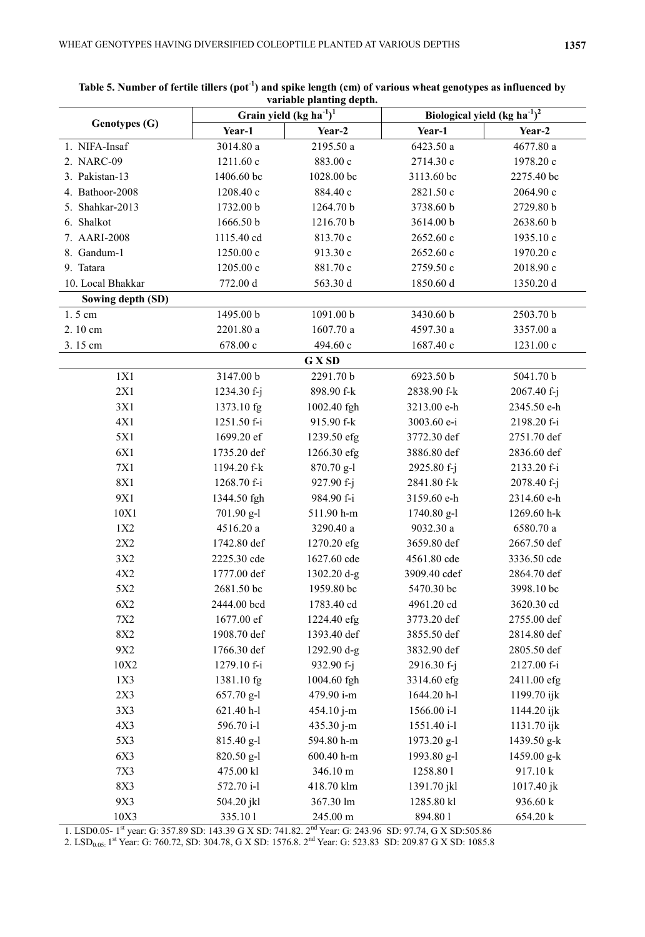| Genotypes (G)     | variable planting ueptil<br>Grain yield (kg ha $^{1})^{1}$ |             | Biological yield (kg $h\overline{a^{-1}}$ ) <sup>2</sup> |             |
|-------------------|------------------------------------------------------------|-------------|----------------------------------------------------------|-------------|
|                   | Year-1                                                     | Year-2      | Year-1                                                   | Year-2      |
| 1. NIFA-Insaf     | 3014.80 a                                                  | 2195.50 a   | 6423.50 a                                                | 4677.80 a   |
| 2. NARC-09        | 1211.60 c                                                  | 883.00 c    | 2714.30 с                                                | 1978.20 c   |
| 3. Pakistan-13    | 1406.60 bc                                                 | 1028.00 bc  | 3113.60 bc                                               | 2275.40 bc  |
| 4. Bathoor-2008   | 1208.40 c                                                  | 884.40 с    | 2821.50 c                                                | 2064.90 с   |
| 5. Shahkar-2013   | 1732.00 b                                                  | 1264.70 b   | 3738.60 b                                                | 2729.80 b   |
| 6. Shalkot        | 1666.50 b                                                  | 1216.70 b   | 3614.00 b                                                | 2638.60 b   |
| 7. AARI-2008      | 1115.40 cd                                                 | 813.70 c    | 2652.60 c                                                | 1935.10 c   |
| 8. Gandum-1       | 1250.00 c                                                  | 913.30 c    | 2652.60 c                                                | 1970.20 с   |
| 9. Tatara         | 1205.00 c                                                  | 881.70 c    | 2759.50 c                                                | 2018.90 с   |
| 10. Local Bhakkar | 772.00 d                                                   | 563.30 d    | 1850.60 d                                                | 1350.20 d   |
| Sowing depth (SD) |                                                            |             |                                                          |             |
| 1.5 cm            | 1495.00 b                                                  | 1091.00 b   | 3430.60 b                                                | 2503.70 b   |
| 2.10 cm           | 2201.80 a                                                  | 1607.70 a   | 4597.30 a                                                | 3357.00 a   |
| 3.15 cm           | 678.00 c                                                   | 494.60 с    | 1687.40 c                                                | 1231.00 c   |
|                   |                                                            | G X SD      |                                                          |             |
| 1X1               | 3147.00 b                                                  | 2291.70 b   | 6923.50 b                                                | 5041.70 b   |
| 2X1               | 1234.30 f-j                                                | 898.90 f-k  | 2838.90 f-k                                              | 2067.40 f-j |
| 3X1               | 1373.10 fg                                                 | 1002.40 fgh | 3213.00 e-h                                              | 2345.50 e-h |
| 4X1               | 1251.50 f-i                                                | 915.90 f-k  | 3003.60 e-i                                              | 2198.20 f-i |
| 5X1               | 1699.20 ef                                                 | 1239.50 efg | 3772.30 def                                              | 2751.70 def |
| 6X1               | 1735.20 def                                                | 1266.30 efg | 3886.80 def                                              | 2836.60 def |
| 7X1               | 1194.20 f-k                                                | 870.70 g-l  | 2925.80 f-j                                              | 2133.20 f-i |
| <b>8X1</b>        | 1268.70 f-i                                                | 927.90 f-j  | 2841.80 f-k                                              | 2078.40 f-j |
| 9X1               | 1344.50 fgh                                                | 984.90 f-i  | 3159.60 e-h                                              | 2314.60 e-h |
| 10X1              | 701.90 g-l                                                 | 511.90 h-m  | $1740.80$ g-l                                            | 1269.60 h-k |
| 1X2               | 4516.20 a                                                  | 3290.40 a   | 9032.30 a                                                | 6580.70 a   |
| 2X2               | 1742.80 def                                                | 1270.20 efg | 3659.80 def                                              | 2667.50 def |
| 3X2               | 2225.30 cde                                                | 1627.60 cde | 4561.80 cde                                              | 3336.50 cde |
| 4X2               | 1777.00 def                                                | 1302.20 d-g | 3909.40 cdef                                             | 2864.70 def |
| 5X2               | 2681.50 bc                                                 | 1959.80 bc  | 5470.30 bc                                               | 3998.10 bc  |
| 6X2               | 2444.00 bcd                                                | 1783.40 cd  | 4961.20 cd                                               | 3620.30 cd  |
| 7X2               | 1677.00 ef                                                 | 1224.40 efg | 3773.20 def                                              | 2755.00 def |
| 8X2               | 1908.70 def                                                | 1393.40 def | 3855.50 def                                              | 2814.80 def |
| 9X2               | 1766.30 def                                                | 1292.90 d-g | 3832.90 def                                              | 2805.50 def |
| 10X2              | 1279.10 f-i                                                | 932.90 f-j  | 2916.30 f-j                                              | 2127.00 f-i |
| 1X3               | 1381.10 fg                                                 | 1004.60 fgh | 3314.60 efg                                              | 2411.00 efg |
| 2X3               | 657.70 g-l                                                 | 479.90 i-m  | 1644.20 h-l                                              | 1199.70 ijk |
| 3X3               | 621.40 h-l                                                 | 454.10 j-m  | 1566.00 i-l                                              | 1144.20 ijk |
| 4X3               | 596.70 i-l                                                 | 435.30 j-m  | 1551.40 i-l                                              | 1131.70 ijk |
| 5X3               | 815.40 g-l                                                 | 594.80 h-m  | 1973.20 g-l                                              | 1439.50 g-k |
| 6X3               | 820.50 g-l                                                 | 600.40 h-m  | 1993.80 g-l                                              | 1459.00 g-k |
| <b>7X3</b>        | 475.00 kl                                                  | 346.10 m    | 1258.801                                                 | 917.10 k    |
| 8X3               | 572.70 i-l                                                 | 418.70 klm  | 1391.70 jkl                                              | 1017.40 jk  |
| 9X3               | 504.20 jkl                                                 | 367.30 lm   | 1285.80 kl                                               | 936.60 k    |
| 10X3              | 335.101                                                    | 245.00 m    | 894.801                                                  | 654.20 k    |

| Table 5. Number of fertile tillers (pot <sup>-1</sup> ) and spike length (cm) of various wheat genotypes as influenced by |
|---------------------------------------------------------------------------------------------------------------------------|
| variable planting depth.                                                                                                  |

1. LSD0.05- 1<sup>st</sup> year: G: 357.89 SD: 143.39 G X SD: 741.82. 2<sup>nd</sup> Year: G: 243.96 SD: 97.74, G X SD:505.86

2. LSD<sub>0.05:</sub> 1<sup>st</sup> Year: G: 760.72, SD: 304.78, G X SD: 1576.8. 2<sup>nd</sup> Year: G: 523.83 SD: 209.87 G X SD: 1085.8